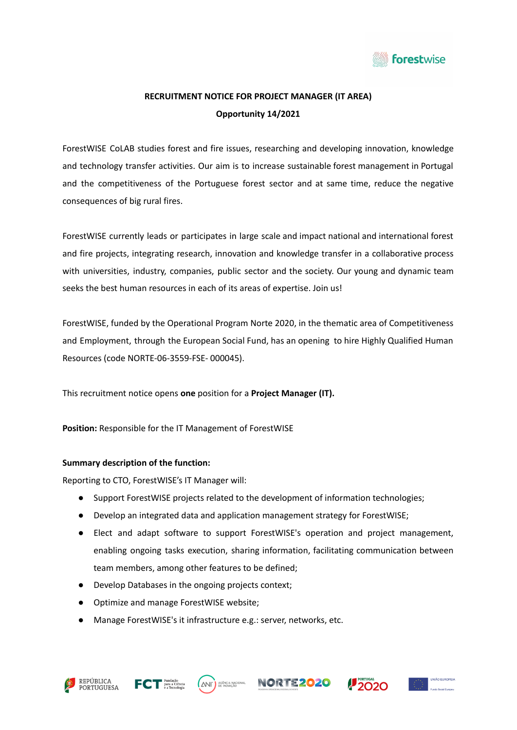

# **RECRUITMENT NOTICE FOR PROJECT MANAGER (IT AREA) Opportunity 14/2021**

ForestWISE CoLAB studies forest and fire issues, researching and developing innovation, knowledge and technology transfer activities. Our aim is to increase sustainable forest management in Portugal and the competitiveness of the Portuguese forest sector and at same time, reduce the negative consequences of big rural fires.

ForestWISE currently leads or participates in large scale and impact national and international forest and fire projects, integrating research, innovation and knowledge transfer in a collaborative process with universities, industry, companies, public sector and the society. Our young and dynamic team seeks the best human resources in each of its areas of expertise. Join us!

ForestWISE, funded by the Operational Program Norte 2020, in the thematic area of Competitiveness and Employment, through the European Social Fund, has an opening to hire Highly Qualified Human Resources (code NORTE-06-3559-FSE- 000045).

This recruitment notice opens **one** position for a **Project Manager (IT).**

**Position:** Responsible for the IT Management of ForestWISE

## **Summary description of the function:**

Reporting to CTO, ForestWISE's IT Manager will:

- Support ForestWISE projects related to the development of information technologies;
- Develop an integrated data and application management strategy for ForestWISE;
- Elect and adapt software to support ForestWISE's operation and project management, enabling ongoing tasks execution, sharing information, facilitating communication between team members, among other features to be defined;
- Develop Databases in the ongoing projects context;
- Optimize and manage ForestWISE website;
- Manage ForestWISE's it infrastructure e.g.: server, networks, etc.









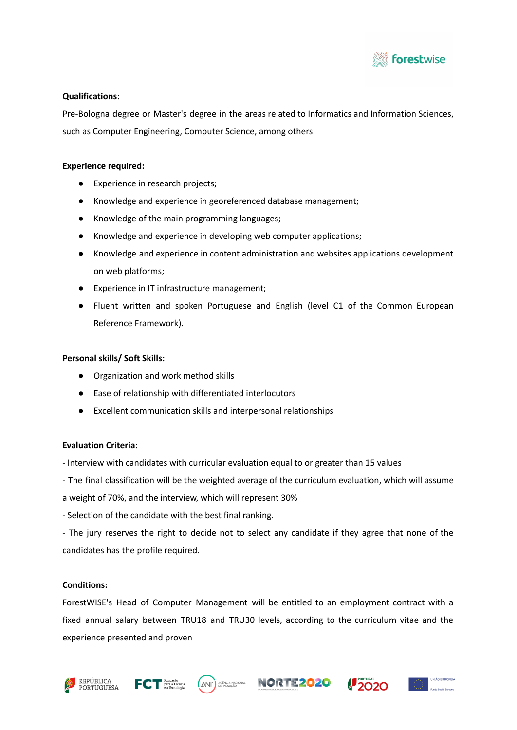

## **Qualifications:**

Pre-Bologna degree or Master's degree in the areas related to Informatics and Information Sciences, such as Computer Engineering, Computer Science, among others.

## **Experience required:**

- Experience in research projects;
- Knowledge and experience in georeferenced database management;
- Knowledge of the main programming languages;
- Knowledge and experience in developing web computer applications;
- Knowledge and experience in content administration and websites applications development on web platforms;
- Experience in IT infrastructure management;
- Fluent written and spoken Portuguese and English (level C1 of the Common European Reference Framework).

#### **Personal skills/ Soft Skills:**

- Organization and work method skills
- Ease of relationship with differentiated interlocutors
- Excellent communication skills and interpersonal relationships

## **Evaluation Criteria:**

- Interview with candidates with curricular evaluation equal to or greater than 15 values
- The final classification will be the weighted average of the curriculum evaluation, which will assume
- a weight of 70%, and the interview, which will represent 30%
- Selection of the candidate with the best final ranking.
- The jury reserves the right to decide not to select any candidate if they agree that none of the candidates has the profile required.

## **Conditions:**

ForestWISE's Head of Computer Management will be entitled to an employment contract with a fixed annual salary between TRU18 and TRU30 levels, according to the curriculum vitae and the experience presented and proven